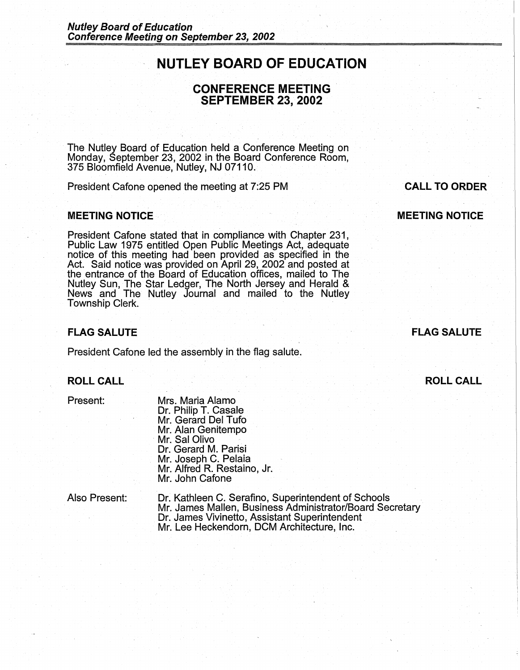# **NUTLEY BOARD OF EDUCATION**

## **CONFERENCE MEETING** . **SEPTEMBER 23, 2002**

The Nutley Board of Education held a Conference Meeting on Monday, September 23, 2002 in the Board Conference Room, 375 Bloomfield Avenue, Nutley, NJ 07110.

President Cafone opened the meeting at 7:25 PM

#### **MEETING NOTICE** ·.

President Cafone stated that in compliance with Chapter 231, Public Law 1975 entitled Open Public Meetings Act, adequate notice of this meeting had been provided as specified in the Act. Said notice was provided on April 29, 2002 and posted at the entrance of the Board of Education offices, mailed to The Nutley Sun, The Star Ledger, The North Jersey and Herald & News and The Nutley Journal and mailed to the Nutley Township Clerk.

#### **FLAG SALUTE**

President Cafone led the assembly in the flag salute.

### **ROLL CALL**

Present:

Mrs. Maria Alamo Dr. Philip T. Casale Mr. Gerard Del Tufo Mr. Alan Genitempo Mr. Sal Olivo Dr. Gerard M. Parisi Mr. Joseph C. Pelaia Mr. Alfred R. Restaino, Jr. Mr. John Cafone

Also Present:

Dr: Kathleen C. Serafino, Superintendent of Schools Mr. James Mallen, Business Administrator/Board Secretary Dr. James Vivinetto, Assistant Superintendent Mr. Lee Heckendorn, DCM Architecture, Inc.

**CALL TO ORDER** 

**MEETING NOTICE** 

**FLAG SALUTE** 

**ROLL CALL**